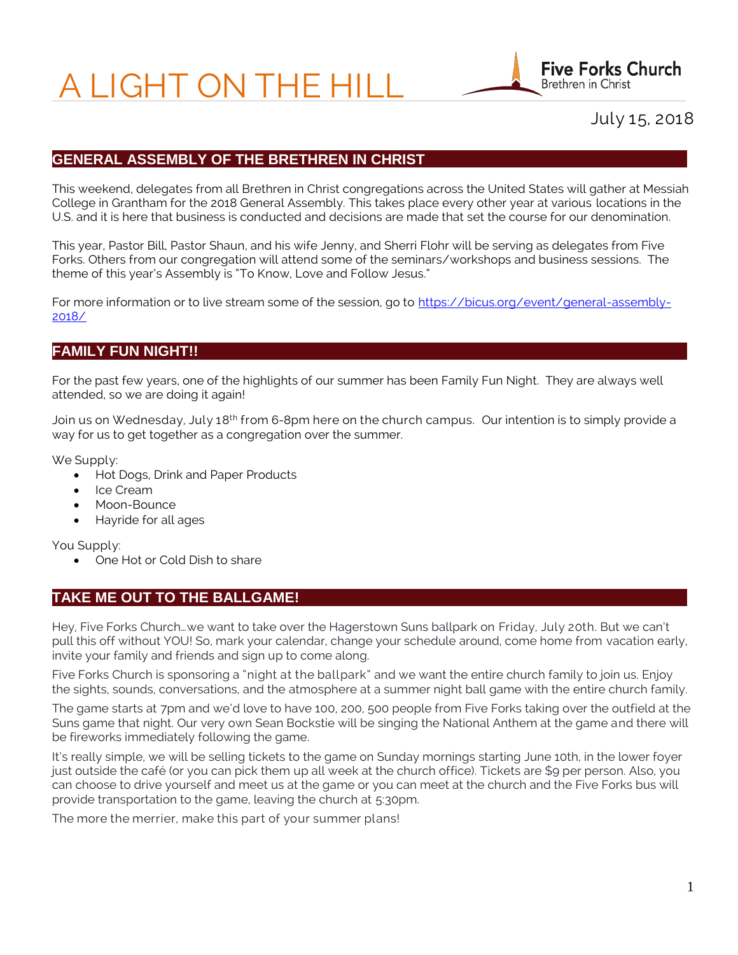# A LIGHT ON THE HILL



July 15, 2018

## **GENERAL ASSEMBLY OF THE BRETHREN IN CHRIST**

This weekend, delegates from all Brethren in Christ congregations across the United States will gather at Messiah College in Grantham for the 2018 General Assembly. This takes place every other year at various locations in the U.S. and it is here that business is conducted and decisions are made that set the course for our denomination.

This year, Pastor Bill, Pastor Shaun, and his wife Jenny, and Sherri Flohr will be serving as delegates from Five Forks. Others from our congregation will attend some of the seminars/workshops and business sessions. The theme of this year's Assembly is "To Know, Love and Follow Jesus."

For more information or to live stream some of the session, go to [https://bicus.org/event/general-assembly-](https://bicus.org/event/general-assembly-2018/)[2018/](https://bicus.org/event/general-assembly-2018/)

## **FAMILY FUN NIGHT!!**

For the past few years, one of the highlights of our summer has been Family Fun Night. They are always well attended, so we are doing it again!

Join us on Wednesday, July 18<sup>th</sup> from 6-8pm here on the church campus. Our intention is to simply provide a way for us to get together as a congregation over the summer.

We Supply:

- Hot Dogs, Drink and Paper Products
- Ice Cream
- Moon-Bounce
- Hayride for all ages

You Supply:

• One Hot or Cold Dish to share

## **TAKE ME OUT TO THE BALLGAME!**

Hey, Five Forks Church…we want to take over the Hagerstown Suns ballpark on Friday, July 20th. But we can't pull this off without YOU! So, mark your calendar, change your schedule around, come home from vacation early, invite your family and friends and sign up to come along.

Five Forks Church is sponsoring a "night at the ballpark" and we want the entire church family to join us. Enjoy the sights, sounds, conversations, and the atmosphere at a summer night ball game with the entire church family.

The game starts at 7pm and we'd love to have 100, 200, 500 people from Five Forks taking over the outfield at the Suns game that night. Our very own Sean Bockstie will be singing the National Anthem at the game and there will be fireworks immediately following the game.

It's really simple, we will be selling tickets to the game on Sunday mornings starting June 10th, in the lower foyer just outside the café (or you can pick them up all week at the church office). Tickets are \$9 per person. Also, you can choose to drive yourself and meet us at the game or you can meet at the church and the Five Forks bus will provide transportation to the game, leaving the church at 5:30pm.

The more the merrier, make this part of your summer plans!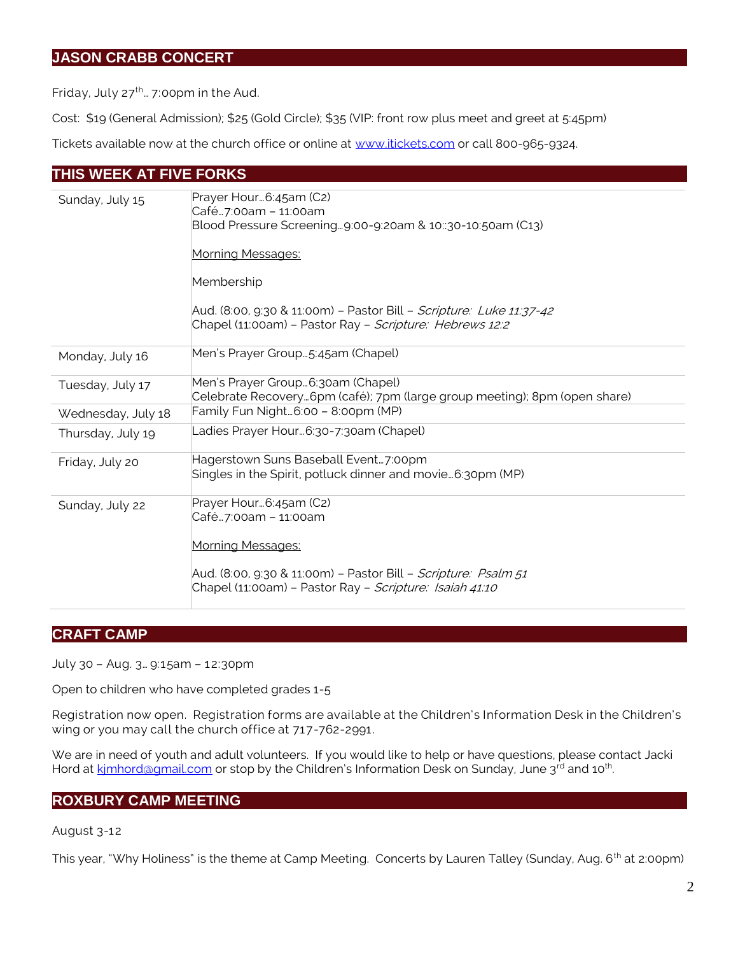## **JASON CRABB CONCERT**

Friday, July  $27^{th}$ ... 7:00pm in the Aud.

Cost: \$19 (General Admission); \$25 (Gold Circle); \$35 (VIP: front row plus meet and greet at 5:45pm)

Tickets available now at the church office or online at [www.itickets.com](http://www.itickets.com/) or call 800-965-9324.

## **THIS WEEK AT FIVE FORKS**

| Sunday, July 15    | Prayer Hour6:45am (C2)<br>Café7:00am - 11:00am<br>Blood Pressure Screening9:00-9:20am & 10::30-10:50am (C13)<br><b>Morning Messages:</b><br>Membership<br>Aud. (8:00, 9:30 & 11:00m) - Pastor Bill - <i>Scripture: Luke 11:37-42</i><br>Chapel (11:00am) - Pastor Ray - <i>Scripture: Hebrews 12:2</i> |
|--------------------|--------------------------------------------------------------------------------------------------------------------------------------------------------------------------------------------------------------------------------------------------------------------------------------------------------|
| Monday, July 16    | Men's Prayer Group5:45am (Chapel)                                                                                                                                                                                                                                                                      |
| Tuesday, July 17   | Men's Prayer Group 6:30am (Chapel)<br>Celebrate Recovery6pm (café); 7pm (large group meeting); 8pm (open share)                                                                                                                                                                                        |
| Wednesday, July 18 | Family Fun Night6:00 - 8:00pm (MP)                                                                                                                                                                                                                                                                     |
| Thursday, July 19  | Ladies Prayer Hour…6:30-7:30am (Chapel)                                                                                                                                                                                                                                                                |
| Friday, July 20    | Hagerstown Suns Baseball Event7:00pm<br>Singles in the Spirit, potluck dinner and movie6:30pm (MP)                                                                                                                                                                                                     |
| Sunday, July 22    | Prayer Hour6:45am (C2)<br>Café7:00am - 11:00am<br>Morning Messages:<br>Aud. (8:00, 9:30 & 11:00m) - Pastor Bill - Scripture: Psalm 51<br>Chapel (11:00am) - Pastor Ray - <i>Scripture: Isaiah 41:10</i>                                                                                                |

## **CRAFT CAMP**

July 30 – Aug. 3… 9:15am – 12:30pm

Open to children who have completed grades 1-5

Registration now open. Registration forms are available at the Children's Information Desk in the Children's wing or you may call the church office at 717-762-2991.

We are in need of youth and adult volunteers. If you would like to help or have questions, please contact Jacki Hord at kimhord@gmail.com or stop by the Children's Information Desk on Sunday, June 3<sup>rd</sup> and 10<sup>th</sup>. .

## **ROXBURY CAMP MEETING**

August 3-12

This year, "Why Holiness" is the theme at Camp Meeting. Concerts by Lauren Talley (Sunday, Aug. 6<sup>th</sup> at 2:00pm)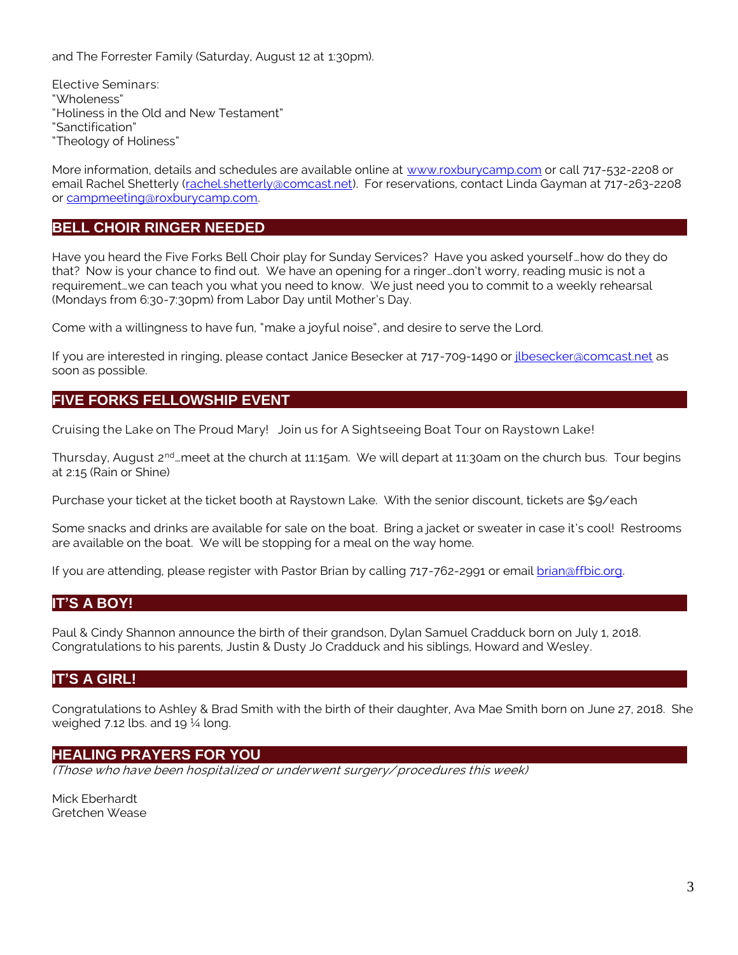and The Forrester Family (Saturday, August 12 at 1:30pm).

Elective Seminars: "Wholeness" "Holiness in the Old and New Testament" "Sanctification" "Theology of Holiness"

More information, details and schedules are available online at [www.roxburycamp.com](http://www.roxburycamp.com/) or call 717-532-2208 or email Rachel Shetterly [\(rachel.shetterly@comcast.net\)](mailto:rachel.shetterly@comcast.net). For reservations, contact Linda Gayman at 717-263-2208 or [campmeeting@roxburycamp.com.](mailto:campmeeting@roxburycamp.com)

## **BELL CHOIR RINGER NEEDED**

Have you heard the Five Forks Bell Choir play for Sunday Services? Have you asked yourself…how do they do that? Now is your chance to find out. We have an opening for a ringer…don't worry, reading music is not a requirement…we can teach you what you need to know. We just need you to commit to a weekly rehearsal (Mondays from 6:30-7:30pm) from Labor Day until Mother's Day.

Come with a willingness to have fun, "make a joyful noise", and desire to serve the Lord.

If you are interested in ringing, please contact Janice Besecker at 717-709-1490 or *ilbesecker@comcast.net* as soon as possible.

## **FIVE FORKS FELLOWSHIP EVENT**

Cruising the Lake on The Proud Mary! Join us for A Sightseeing Boat Tour on Raystown Lake!

Thursday, August 2<sup>nd</sup>…meet at the church at 11:15am. We will depart at 11:30am on the church bus. Tour begins at 2:15 (Rain or Shine)

Purchase your ticket at the ticket booth at Raystown Lake. With the senior discount, tickets are \$9/each

Some snacks and drinks are available for sale on the boat. Bring a jacket or sweater in case it's cool! Restrooms are available on the boat. We will be stopping for a meal on the way home.

If you are attending, please register with Pastor Brian by calling 717-762-2991 or email [brian@ffbic.org.](mailto:brian@ffbic.org)

### **IT'S A BOY!**

Paul & Cindy Shannon announce the birth of their grandson, Dylan Samuel Cradduck born on July 1, 2018. Congratulations to his parents, Justin & Dusty Jo Cradduck and his siblings, Howard and Wesley.

## **IT'S A GIRL!**

Congratulations to Ashley & Brad Smith with the birth of their daughter, Ava Mae Smith born on June 27, 2018. She weighed 7.12 lbs. and 19 $\frac{1}{4}$  long.

### **HEALING PRAYERS FOR YOU**

(Those who have been hospitalized or underwent surgery/ procedures this week)

Mick Eberhardt Gretchen Wease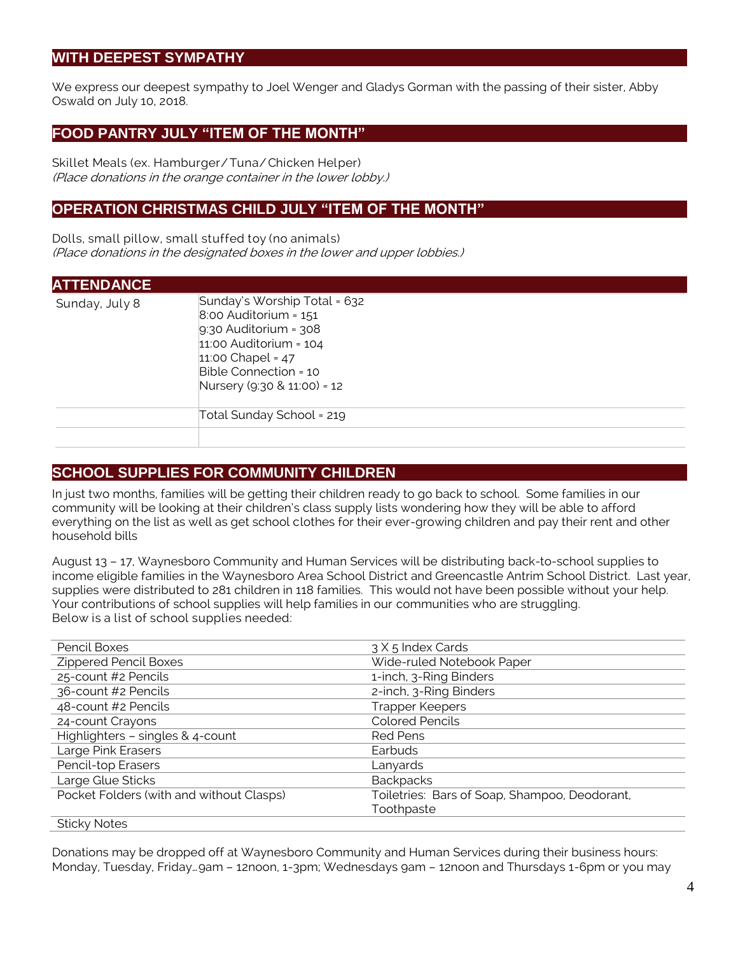## **WITH DEEPEST SYMPATHY**

We express our deepest sympathy to Joel Wenger and Gladys Gorman with the passing of their sister, Abby Oswald on July 10, 2018.

## **FOOD PANTRY JULY "ITEM OF THE MONTH"**

Skillet Meals (ex. Hamburger/ Tuna/ Chicken Helper) (Place donations in the orange container in the lower lobby.)

## **OPERATION CHRISTMAS CHILD JULY "ITEM OF THE MONTH"**

Dolls, small pillow, small stuffed toy (no animals) (Place donations in the designated boxes in the lower and upper lobbies.)

| <b>ATTENDANCE</b> |                                                                                                                                                                                                     |
|-------------------|-----------------------------------------------------------------------------------------------------------------------------------------------------------------------------------------------------|
| Sunday, July 8    | Sunday's Worship Total = 632<br>$8:00$ Auditorium = $151$<br>$9:30$ Auditorium = $308$<br>$11:00$ Auditorium = $104$<br>11:00 Chapel = $47$<br>Bible Connection = 10<br>Nursery (9:30 & 11:00) = 12 |
|                   | Total Sunday School = 219                                                                                                                                                                           |
|                   |                                                                                                                                                                                                     |

## **SCHOOL SUPPLIES FOR COMMUNITY CHILDREN**

In just two months, families will be getting their children ready to go back to school. Some families in our community will be looking at their children's class supply lists wondering how they will be able to afford everything on the list as well as get school clothes for their ever-growing children and pay their rent and other household bills

August 13 – 17, Waynesboro Community and Human Services will be distributing back-to-school supplies to income eligible families in the Waynesboro Area School District and Greencastle Antrim School District. Last year, supplies were distributed to 281 children in 118 families. This would not have been possible without your help. Your contributions of school supplies will help families in our communities who are struggling. Below is a list of school supplies needed:

| Pencil Boxes                              | 3 X 5 Index Cards                             |
|-------------------------------------------|-----------------------------------------------|
| Zippered Pencil Boxes                     | Wide-ruled Notebook Paper                     |
| 25-count #2 Pencils                       | 1-inch, 3-Ring Binders                        |
| 36-count #2 Pencils                       | 2-inch, 3-Ring Binders                        |
| 48-count #2 Pencils                       | <b>Trapper Keepers</b>                        |
| 24-count Crayons                          | <b>Colored Pencils</b>                        |
| Highlighters - singles & 4-count          | <b>Red Pens</b>                               |
| Large Pink Erasers                        | Earbuds                                       |
| Pencil-top Erasers                        | Lanyards                                      |
| Large Glue Sticks                         | <b>Backpacks</b>                              |
| Pocket Folders (with and without Clasps)  | Toiletries: Bars of Soap, Shampoo, Deodorant, |
|                                           | Toothpaste                                    |
| $\sim$ $\sim$ $\sim$ $\sim$ $\sim$ $\sim$ |                                               |

Sticky Notes

Donations may be dropped off at Waynesboro Community and Human Services during their business hours: Monday, Tuesday, Friday…9am – 12noon, 1-3pm; Wednesdays 9am – 12noon and Thursdays 1-6pm or you may